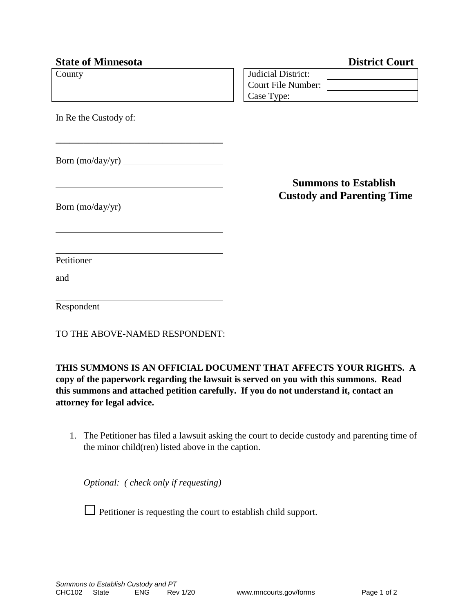| <b>State of Minnesota</b>      | <b>District Court</b>             |
|--------------------------------|-----------------------------------|
| County                         | <b>Judicial District:</b>         |
|                                | Court File Number:                |
|                                | Case Type:                        |
| In Re the Custody of:          |                                   |
|                                |                                   |
|                                | <b>Summons to Establish</b>       |
|                                | <b>Custody and Parenting Time</b> |
|                                |                                   |
| Petitioner                     |                                   |
| and                            |                                   |
| Respondent                     |                                   |
| TO THE ABOVE-NAMED RESPONDENT: |                                   |

**THIS SUMMONS IS AN OFFICIAL DOCUMENT THAT AFFECTS YOUR RIGHTS. A copy of the paperwork regarding the lawsuit is served on you with this summons. Read this summons and attached petition carefully. If you do not understand it, contact an attorney for legal advice.**

1. The Petitioner has filed a lawsuit asking the court to decide custody and parenting time of the minor child(ren) listed above in the caption.

*Optional: ( check only if requesting)*

 $\Box$  Petitioner is requesting the court to establish child support.